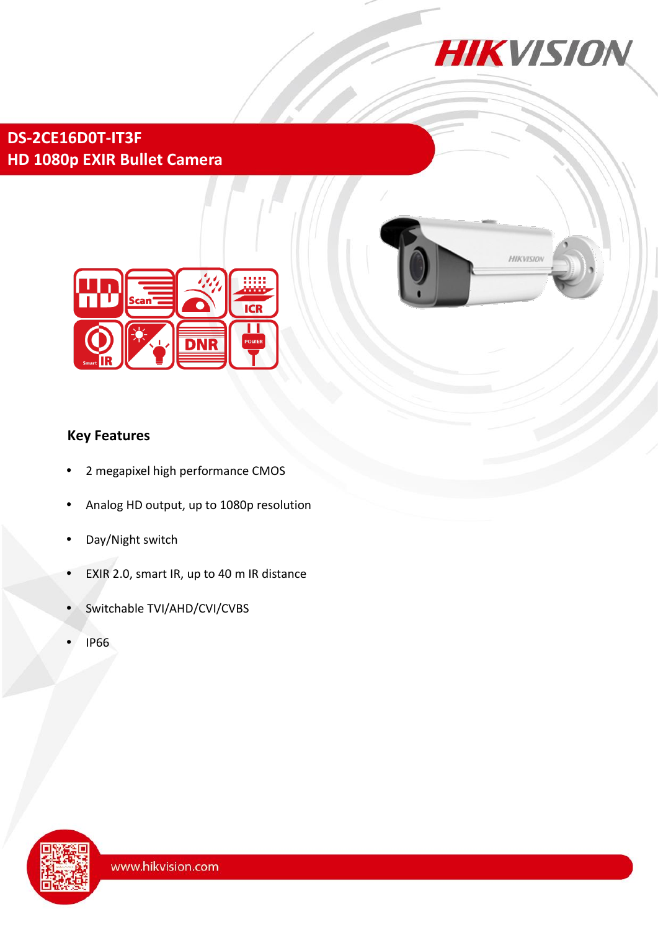

# **DS-2CE16D0T-IT3F HD 1080p EXIR Bullet Camera**





## **Key Features**

- 2 megapixel high performance CMOS
- Analog HD output, up to 1080p resolution
- Day/Night switch
- EXIR 2.0, smart IR, up to 40 m IR distance
- Switchable TVI/AHD/CVI/CVBS
- IP66

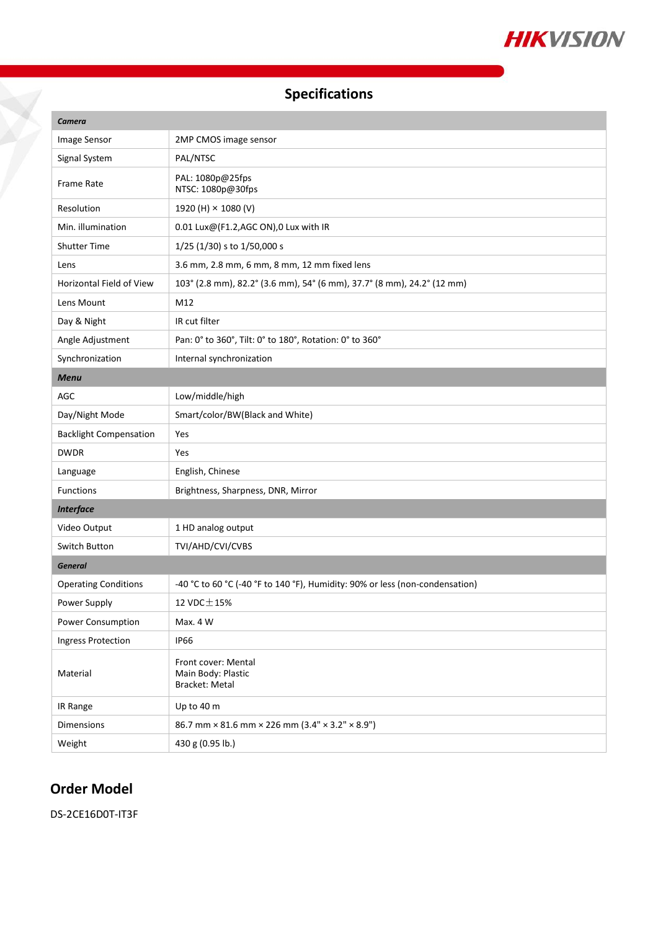

# **Specifications**

| Camera                        |                                                                              |
|-------------------------------|------------------------------------------------------------------------------|
| Image Sensor                  | 2MP CMOS image sensor                                                        |
| Signal System                 | PAL/NTSC                                                                     |
| Frame Rate                    | PAL: 1080p@25fps<br>NTSC: 1080p@30fps                                        |
| Resolution                    | 1920 (H) × 1080 (V)                                                          |
| Min. illumination             | 0.01 Lux@(F1.2,AGC ON),0 Lux with IR                                         |
| <b>Shutter Time</b>           | 1/25 (1/30) s to 1/50,000 s                                                  |
| Lens                          | 3.6 mm, 2.8 mm, 6 mm, 8 mm, 12 mm fixed lens                                 |
| Horizontal Field of View      | 103° (2.8 mm), 82.2° (3.6 mm), 54° (6 mm), 37.7° (8 mm), 24.2° (12 mm)       |
| Lens Mount                    | M12                                                                          |
| Day & Night                   | IR cut filter                                                                |
| Angle Adjustment              | Pan: 0° to 360°, Tilt: 0° to 180°, Rotation: 0° to 360°                      |
| Synchronization               | Internal synchronization                                                     |
| <b>Menu</b>                   |                                                                              |
| <b>AGC</b>                    | Low/middle/high                                                              |
| Day/Night Mode                | Smart/color/BW(Black and White)                                              |
| <b>Backlight Compensation</b> | Yes                                                                          |
| <b>DWDR</b>                   | Yes                                                                          |
| Language                      | English, Chinese                                                             |
| <b>Functions</b>              | Brightness, Sharpness, DNR, Mirror                                           |
| <b>Interface</b>              |                                                                              |
| Video Output                  | 1 HD analog output                                                           |
| Switch Button                 | TVI/AHD/CVI/CVBS                                                             |
| <b>General</b>                |                                                                              |
| <b>Operating Conditions</b>   | -40 °C to 60 °C (-40 °F to 140 °F), Humidity: 90% or less (non-condensation) |
| Power Supply                  | 12 VDC $\pm$ 15%                                                             |
| Power Consumption             | Max. 4 W                                                                     |
| <b>Ingress Protection</b>     | <b>IP66</b>                                                                  |
| Material                      | Front cover: Mental<br>Main Body: Plastic<br>Bracket: Metal                  |
| IR Range                      | Up to 40 m                                                                   |
| <b>Dimensions</b>             | 86.7 mm × 81.6 mm × 226 mm (3.4" × 3.2" × 8.9")                              |
| Weight                        | 430 g (0.95 lb.)                                                             |

## **Order Model**

DS-2CE16D0T-IT3F